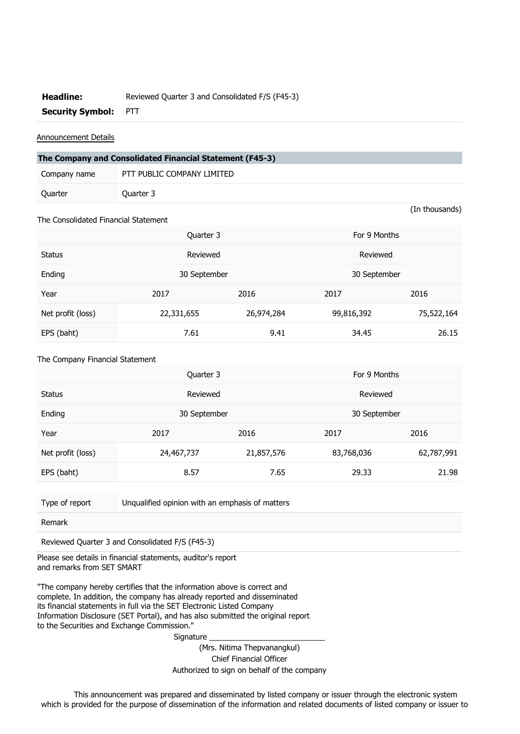## **Headline:** Reviewed Quarter 3 and Consolidated F/S (F45-3)

**Security Symbol:** PTT

## Announcement Details

| The Company and Consolidated Financial Statement (F45-3) |                            |  |  |  |  |
|----------------------------------------------------------|----------------------------|--|--|--|--|
| Company name                                             | PTT PUBLIC COMPANY LIMITED |  |  |  |  |
| Quarter                                                  | Ouarter 3                  |  |  |  |  |

(In thousands)

## The Consolidated Financial Statement

|                   | Quarter 3    |            | For 9 Months |            |
|-------------------|--------------|------------|--------------|------------|
| <b>Status</b>     | Reviewed     |            | Reviewed     |            |
| Ending            | 30 September |            | 30 September |            |
| Year              | 2017         | 2016       | 2017         | 2016       |
| Net profit (loss) | 22,331,655   | 26,974,284 | 99,816,392   | 75,522,164 |
| EPS (baht)        | 7.61         | 9.41       | 34.45        | 26.15      |

## The Company Financial Statement

|                   | Quarter 3    |            | For 9 Months |            |
|-------------------|--------------|------------|--------------|------------|
| <b>Status</b>     | Reviewed     |            | Reviewed     |            |
| Ending            | 30 September |            | 30 September |            |
| Year              | 2017         | 2016       | 2017         | 2016       |
| Net profit (loss) | 24,467,737   | 21,857,576 | 83,768,036   | 62,787,991 |
| EPS (baht)        | 8.57         | 7.65       | 29.33        | 21.98      |

Type of report Unqualified opinion with an emphasis of matters

Remark

Reviewed Quarter 3 and Consolidated F/S (F45-3)

Please see details in financial statements, auditor's report and remarks from SET SMART

"The company hereby certifies that the information above is correct and complete. In addition, the company has already reported and disseminated its financial statements in full via the SET Electronic Listed Company Information Disclosure (SET Portal), and has also submitted the original report to the Securities and Exchange Commission."

Signature

(Mrs. Nitima Thepvanangkul) Chief Financial Officer Authorized to sign on behalf of the company